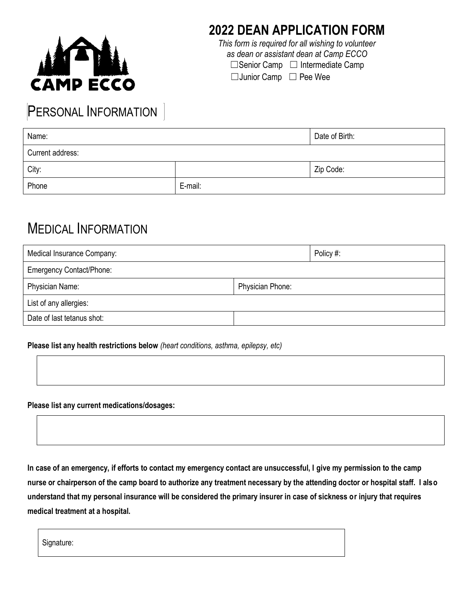

### **2022 DEAN APPLICATION FORM**

*This form is required for all wishing to volunteer as dean or assistant dean at Camp ECCO*

□Senior Camp □ Intermediate Camp

☐Junior Camp ☐ Pee Wee

# PERSONAL INFORMATION

| Name:            |         | Date of Birth: |
|------------------|---------|----------------|
| Current address: |         |                |
| City:            |         | Zip Code:      |
| Phone            | E-mail: |                |

### MEDICAL INFORMATION

|                                 | Policy #: |  |
|---------------------------------|-----------|--|
| <b>Emergency Contact/Phone:</b> |           |  |
| Physician Phone:                |           |  |
| List of any allergies:          |           |  |
|                                 |           |  |
|                                 |           |  |

#### **Please list any health restrictions below** *(heart conditions, asthma, epilepsy, etc)*

**Please list any current medications/dosages:** 

**In case of an emergency, if efforts to contact my emergency contact are unsuccessful, I give my permission to the camp nurse or chairperson of the camp board to authorize any treatment necessary by the attending doctor or hospital staff. I also understand that my personal insurance will be considered the primary insurer in case of sickness or injury that requires medical treatment at a hospital.**

Signature: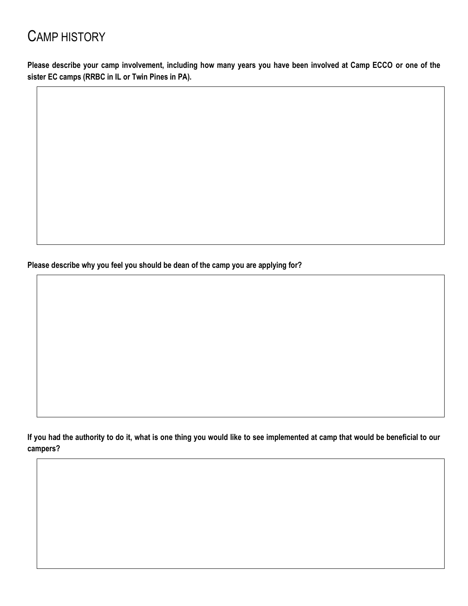# CAMP HISTORY

**Please describe your camp involvement, including how many years you have been involved at Camp ECCO or one of the sister EC camps (RRBC in IL or Twin Pines in PA).**

**Please describe why you feel you should be dean of the camp you are applying for?** 

**If you had the authority to do it, what is one thing you would like to see implemented at camp that would be beneficial to our campers?**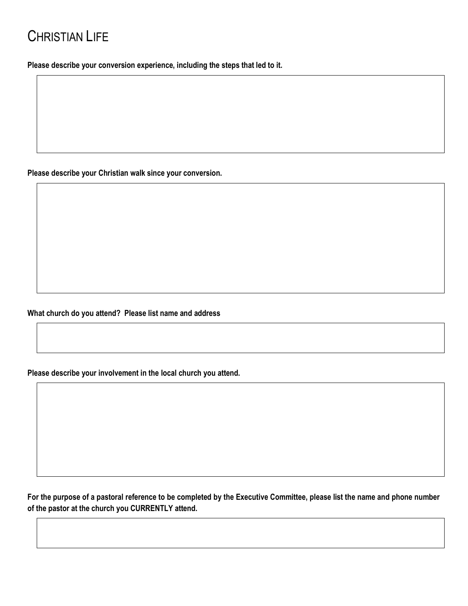**Please describe your conversion experience, including the steps that led to it.**

**Please describe your Christian walk since your conversion.** 

**What church do you attend? Please list name and address**

**Please describe your involvement in the local church you attend.**

**For the purpose of a pastoral reference to be completed by the Executive Committee, please list the name and phone number of the pastor at the church you CURRENTLY attend.**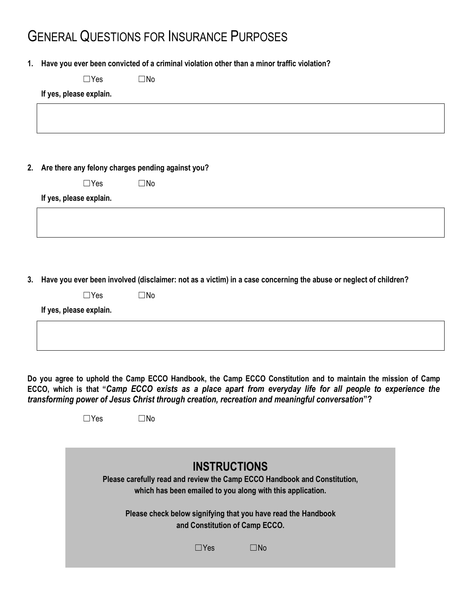# GENERAL QUESTIONS FOR INSURANCE PURPOSES

**1. Have you ever been convicted of a criminal violation other than a minor traffic violation?** 

☐Yes ☐No

#### **If yes, please explain.**

**2. Are there any felony charges pending against you?** 

| $\Box$ Yes | $\square$ No |
|------------|--------------|
|            |              |

**If yes, please explain.**

**3. Have you ever been involved (disclaimer: not as a victim) in a case concerning the abuse or neglect of children?** 

| $\Box$ Yes | $\square$ No |
|------------|--------------|
|            |              |

**If yes, please explain.**

**Do you agree to uphold the Camp ECCO Handbook, the Camp ECCO Constitution and to maintain the mission of Camp ECCO, which is that "***Camp ECCO exists as a place apart from everyday life for all people to experience the transforming power of Jesus Christ through creation, recreation and meaningful conversation***"?**

☐Yes ☐No

| <b>INSTRUCTIONS</b><br>Please carefully read and review the Camp ECCO Handbook and Constitution,<br>which has been emailed to you along with this application. |     |  |  |
|----------------------------------------------------------------------------------------------------------------------------------------------------------------|-----|--|--|
| Please check below signifying that you have read the Handbook<br>and Constitution of Camp ECCO.                                                                |     |  |  |
| $\Box$ Yes                                                                                                                                                     | ∩N⊓ |  |  |